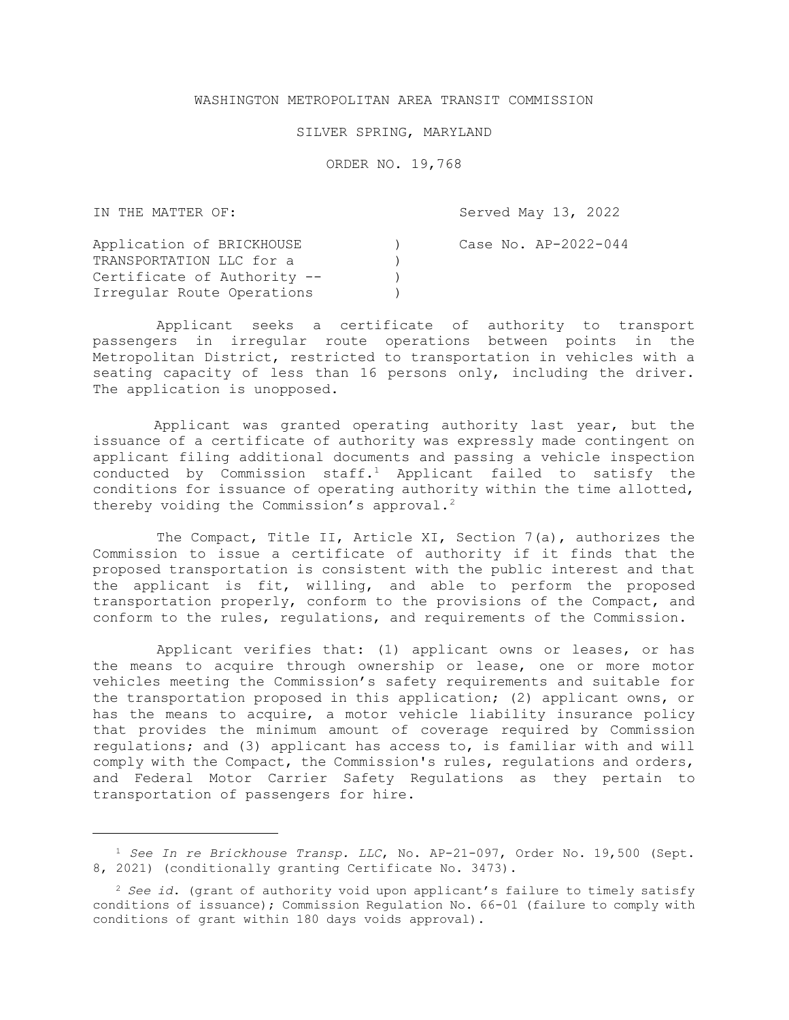## WASHINGTON METROPOLITAN AREA TRANSIT COMMISSION

## SILVER SPRING, MARYLAND

ORDER NO. 19,768

IN THE MATTER OF: Application of BRICKHOUSE TRANSPORTATION LLC for a Certificate of Authority -- Irregular Route Operations ) ) ) ) Served May 13, 2022 Case No. AP-2022-044

Applicant seeks a certificate of authority to transport passengers in irregular route operations between points in the Metropolitan District, restricted to transportation in vehicles with a seating capacity of less than 16 persons only, including the driver. The application is unopposed.

Applicant was granted operating authority last year, but the issuance of a certificate of authority was expressly made contingent on applicant filing additional documents and passing a vehicle inspection conducted by Commission  $\text{staff.}^1$  Applicant failed to satisfy the conditions for issuance of operating authority within the time allotted, thereby voiding the Commission's approval.<sup>2</sup>

The Compact, Title II, Article XI, Section 7(a), authorizes the Commission to issue a certificate of authority if it finds that the proposed transportation is consistent with the public interest and that the applicant is fit, willing, and able to perform the proposed transportation properly, conform to the provisions of the Compact, and conform to the rules, regulations, and requirements of the Commission.

Applicant verifies that: (1) applicant owns or leases, or has the means to acquire through ownership or lease, one or more motor vehicles meeting the Commission's safety requirements and suitable for the transportation proposed in this application; (2) applicant owns, or has the means to acquire, a motor vehicle liability insurance policy that provides the minimum amount of coverage required by Commission regulations; and (3) applicant has access to, is familiar with and will comply with the Compact, the Commission's rules, regulations and orders, and Federal Motor Carrier Safety Regulations as they pertain to transportation of passengers for hire.

l

<sup>&</sup>lt;sup>1</sup> See In re Brickhouse Transp. LLC, No. AP-21-097, Order No. 19,500 (Sept. 8, 2021) (conditionally granting Certificate No. 3473).

<sup>&</sup>lt;sup>2</sup> See id. (grant of authority void upon applicant's failure to timely satisfy conditions of issuance); Commission Regulation No. 66-01 (failure to comply with conditions of grant within 180 days voids approval).